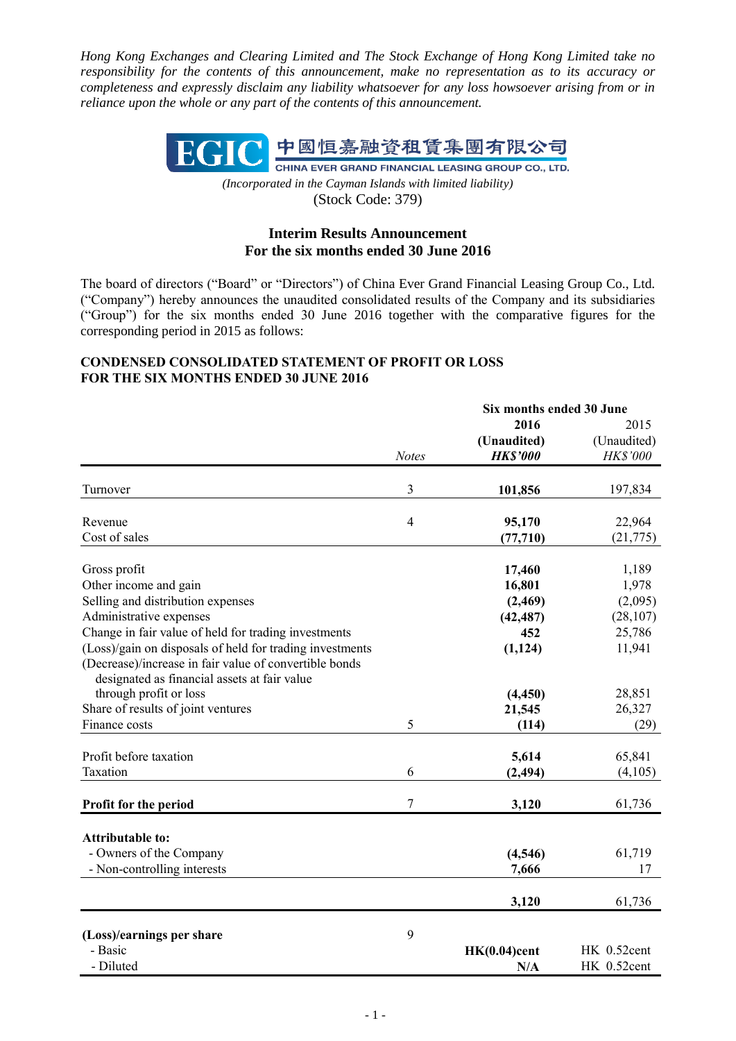*Hong Kong Exchanges and Clearing Limited and The Stock Exchange of Hong Kong Limited take no responsibility for the contents of this announcement, make no representation as to its accuracy or completeness and expressly disclaim any liability whatsoever for any loss howsoever arising from or in reliance upon the whole or any part of the contents of this announcement.*



*(Incorporated in the Cayman Islands with limited liability)* (Stock Code: 379)

# **Interim Results Announcement For the six months ended 30 June 2016**

The board of directors ("Board" or "Directors") of China Ever Grand Financial Leasing Group Co., Ltd. ("Company") hereby announces the unaudited consolidated results of the Company and its subsidiaries ("Group") for the six months ended 30 June 2016 together with the comparative figures for the corresponding period in 2015 as follows:

### **CONDENSED CONSOLIDATED STATEMENT OF PROFIT OR LOSS FOR THE SIX MONTHS ENDED 30 JUNE 2016**

|                                                                                                        |                | Six months ended 30 June |             |
|--------------------------------------------------------------------------------------------------------|----------------|--------------------------|-------------|
|                                                                                                        |                | 2016                     | 2015        |
|                                                                                                        |                | (Unaudited)              | (Unaudited) |
|                                                                                                        | <b>Notes</b>   | <b>HK\$'000</b>          | HK\$'000    |
| Turnover                                                                                               | 3              | 101,856                  | 197,834     |
| Revenue                                                                                                | $\overline{4}$ | 95,170                   | 22,964      |
| Cost of sales                                                                                          |                | (77, 710)                | (21, 775)   |
| Gross profit                                                                                           |                | 17,460                   | 1,189       |
| Other income and gain                                                                                  |                | 16,801                   | 1,978       |
| Selling and distribution expenses                                                                      |                | (2, 469)                 | (2,095)     |
| Administrative expenses                                                                                |                | (42, 487)                | (28, 107)   |
| Change in fair value of held for trading investments                                                   |                | 452                      | 25,786      |
| (Loss)/gain on disposals of held for trading investments                                               |                | (1, 124)                 | 11,941      |
| (Decrease)/increase in fair value of convertible bonds<br>designated as financial assets at fair value |                |                          |             |
| through profit or loss                                                                                 |                | (4, 450)                 | 28,851      |
| Share of results of joint ventures                                                                     |                | 21,545                   | 26,327      |
| Finance costs                                                                                          | 5              | (114)                    | (29)        |
| Profit before taxation                                                                                 |                | 5,614                    | 65,841      |
| Taxation                                                                                               | 6              | (2, 494)                 | (4,105)     |
| Profit for the period                                                                                  | 7              | 3,120                    | 61,736      |
|                                                                                                        |                |                          |             |
| <b>Attributable to:</b><br>- Owners of the Company                                                     |                |                          |             |
|                                                                                                        |                | (4,546)                  | 61,719      |
| - Non-controlling interests                                                                            |                | 7,666                    | 17          |
|                                                                                                        |                | 3,120                    | 61,736      |
| (Loss)/earnings per share                                                                              | 9              |                          |             |
| - Basic                                                                                                |                | $HK(0.04)$ cent          | HK 0.52cent |
| - Diluted                                                                                              |                | N/A                      | HK 0.52cent |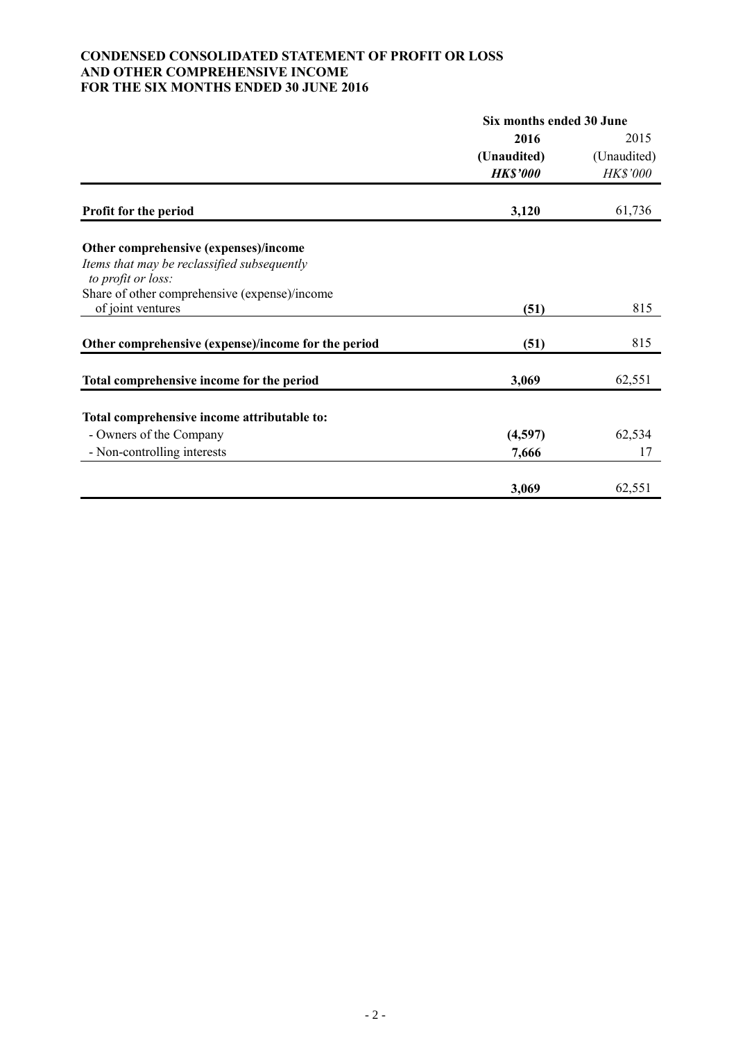### **CONDENSED CONSOLIDATED STATEMENT OF PROFIT OR LOSS AND OTHER COMPREHENSIVE INCOME FOR THE SIX MONTHS ENDED 30 JUNE 2016**

|                                                                    | Six months ended 30 June |             |  |
|--------------------------------------------------------------------|--------------------------|-------------|--|
|                                                                    | 2016                     | 2015        |  |
|                                                                    | (Unaudited)              | (Unaudited) |  |
|                                                                    | <b>HK\$'000</b>          | HK\$'000    |  |
| <b>Profit for the period</b>                                       | 3,120                    | 61,736      |  |
|                                                                    |                          |             |  |
| Other comprehensive (expenses)/income                              |                          |             |  |
| Items that may be reclassified subsequently                        |                          |             |  |
| to profit or loss:                                                 |                          |             |  |
| Share of other comprehensive (expense)/income<br>of joint ventures | (51)                     | 815         |  |
|                                                                    |                          |             |  |
| Other comprehensive (expense)/income for the period                | (51)                     | 815         |  |
|                                                                    |                          |             |  |
| Total comprehensive income for the period                          | 3,069                    | 62,551      |  |
| Total comprehensive income attributable to:                        |                          |             |  |
| - Owners of the Company                                            | (4,597)                  | 62,534      |  |
| - Non-controlling interests                                        | 7,666                    | 17          |  |
|                                                                    |                          |             |  |
|                                                                    | 3,069                    | 62,551      |  |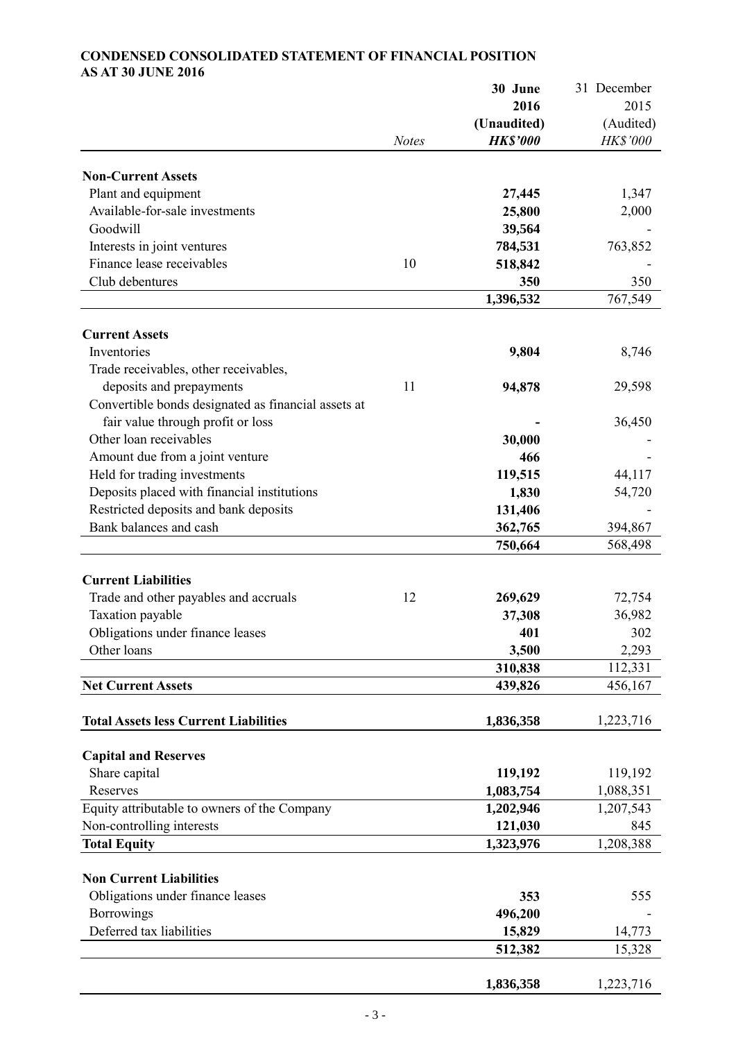# **30 June** 31 December **2016** 2015 **(Unaudited)** (Audited) *Notes HK\$'000 HK\$'000* **Non-Current Assets** Plant and equipment **27,445** 1,347 Available-for-sale investments **25,800** 2,000 Goodwill **39,564** - Interests in joint ventures **784,531** 763,852 Finance lease receivables 10 518,842 Club debentures **350** 350 **1,396,532** 767,549 **Current Assets Inventories 9,804** 8,746 Trade receivables, other receivables, deposits and prepayments 11 **94,878** 29,598 Convertible bonds designated as financial assets at fair value through profit or loss **a**  $36,450$ Other loan receivables **30,000** - **30,000** Amount due from a joint venture **466** Held for trading investments **119,515** 44,117 Deposits placed with financial institutions **1,830** 54,720 Restricted deposits and bank deposits **131,406** Bank balances and cash **362,765** 394,867 **750,664** 568,498 **Current Liabilities** Trade and other payables and accruals 12 269,629 72,754 Taxation payable **37,308** 36,982 Obligations under finance leases **401** 302 Other loans **3,500** 2,293 **310,838** 112,331 **Net Current Assets 439,826** 456,167 **Total Assets less Current Liabilities 1,836,358** 1,223,716 **Capital and Reserves** Share capital **119,192** 119,192 119,192 Reserves **1,083,754** 1,088,351 Equity attributable to owners of the Company **1,202,946** 1,207,543 Non-controlling interests **121,030** 845 **Total Equity 1,323,976** 1,208,388 **Non Current Liabilities** Obligations under finance leases **353** 555 Borrowings **496,200** - Deferred tax liabilities **15,829** 14,773 **512,382** 15,328

# **CONDENSED CONSOLIDATED STATEMENT OF FINANCIAL POSITION AS AT 30 JUNE 2016**

**1,836,358** 1,223,716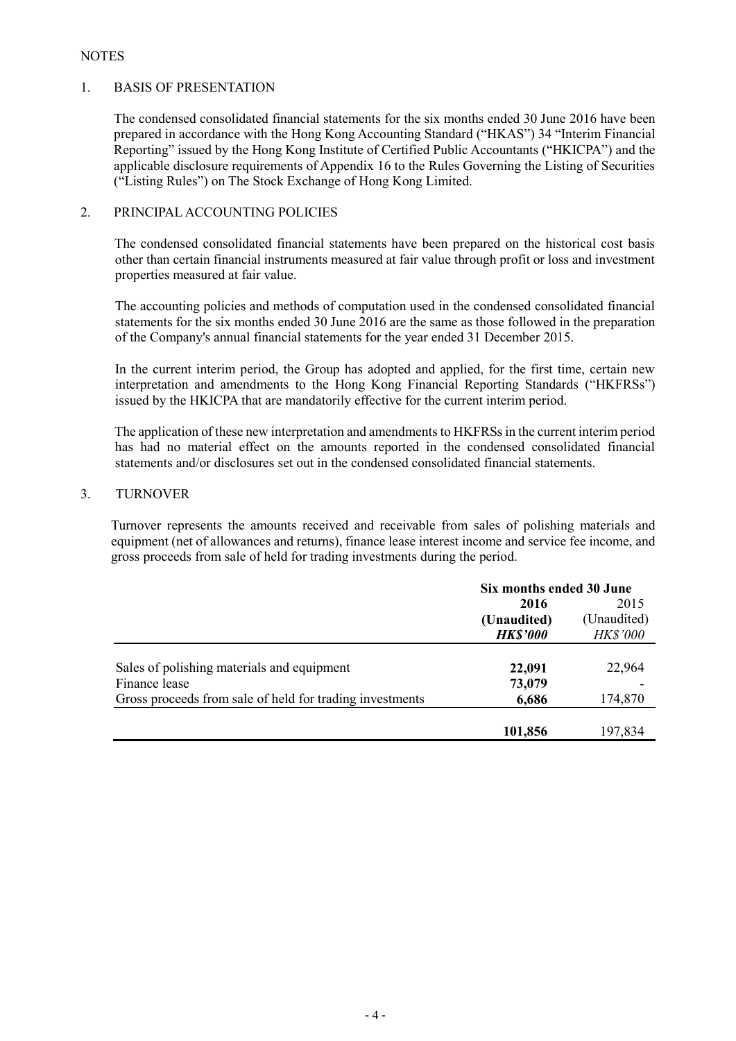### **NOTES**

### 1. BASIS OF PRESENTATION

The condensed consolidated financial statements for the six months ended 30 June 2016 have been prepared in accordance with the Hong Kong Accounting Standard ("HKAS") 34 "Interim Financial Reporting" issued by the Hong Kong Institute of Certified Public Accountants ("HKICPA") and the applicable disclosure requirements of Appendix 16 to the Rules Governing the Listing of Securities ("Listing Rules") on The Stock Exchange of Hong Kong Limited.

# 2. PRINCIPAL ACCOUNTING POLICIES

The condensed consolidated financial statements have been prepared on the historical cost basis other than certain financial instruments measured at fair value through profit or loss and investment properties measured at fair value.

The accounting policies and methods of computation used in the condensed consolidated financial statements for the six months ended 30 June 2016 are the same as those followed in the preparation of the Company's annual financial statements for the year ended 31 December 2015.

In the current interim period, the Group has adopted and applied, for the first time, certain new interpretation and amendments to the Hong Kong Financial Reporting Standards ("HKFRSs") issued by the HKICPA that are mandatorily effective for the current interim period.

The application of these new interpretation and amendments to HKFRSs in the current interim period has had no material effect on the amounts reported in the condensed consolidated financial statements and/or disclosures set out in the condensed consolidated financial statements.

### 3. TURNOVER

Turnover represents the amounts received and receivable from sales of polishing materials and equipment (net of allowances and returns), finance lease interest income and service fee income, and gross proceeds from sale of held for trading investments during the period.

|                                                          | Six months ended 30 June |                 |  |
|----------------------------------------------------------|--------------------------|-----------------|--|
|                                                          | 2016                     | 2015            |  |
|                                                          | (Unaudited)              | (Unaudited)     |  |
|                                                          | <b>HK\$'000</b>          | <b>HK\$'000</b> |  |
|                                                          |                          |                 |  |
| Sales of polishing materials and equipment               | 22,091                   | 22,964          |  |
| Finance lease                                            | 73,079                   |                 |  |
| Gross proceeds from sale of held for trading investments | 6,686                    | 174,870         |  |
|                                                          |                          |                 |  |
|                                                          | 101,856                  | 197,834         |  |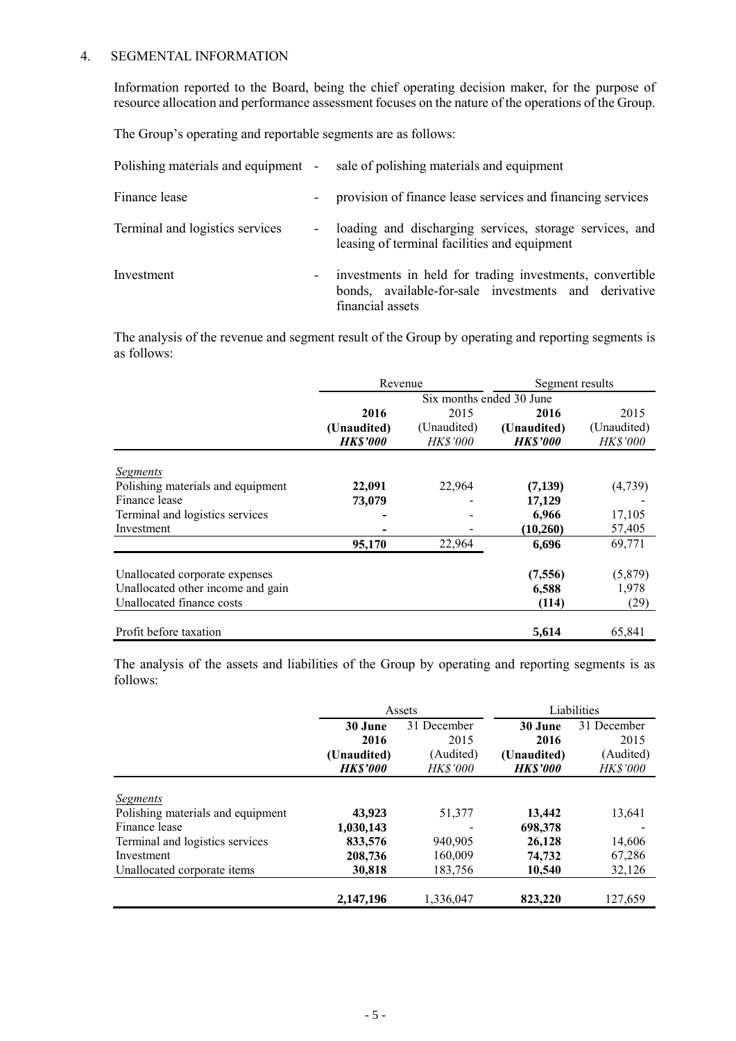### 4. SEGMENTAL INFORMATION

Information reported to the Board, being the chief operating decision maker, for the purpose of resource allocation and performance assessment focuses on the nature of the operations of the Group.

The Group's operating and reportable segments are as follows:

| Polishing materials and equipment - |                          | sale of polishing materials and equipment                                                                                            |
|-------------------------------------|--------------------------|--------------------------------------------------------------------------------------------------------------------------------------|
| Finance lease                       |                          | provision of finance lease services and financing services                                                                           |
| Terminal and logistics services     |                          | loading and discharging services, storage services, and<br>leasing of terminal facilities and equipment                              |
| Investment                          | $\overline{\phantom{a}}$ | investments in held for trading investments, convertible<br>bonds, available-for-sale investments and derivative<br>financial assets |

The analysis of the revenue and segment result of the Group by operating and reporting segments is as follows:

|                                   | Revenue         |                          | Segment results |                 |
|-----------------------------------|-----------------|--------------------------|-----------------|-----------------|
|                                   |                 | Six months ended 30 June |                 |                 |
|                                   | 2016            | 2015                     | 2016            | 2015            |
|                                   | (Unaudited)     | (Unaudited)              | (Unaudited)     | (Unaudited)     |
|                                   | <b>HK\$'000</b> | HK\$'000                 | <b>HK\$'000</b> | <b>HK\$'000</b> |
|                                   |                 |                          |                 |                 |
| Segments                          |                 |                          |                 |                 |
| Polishing materials and equipment | 22,091          | 22,964                   | (7,139)         | (4,739)         |
| Finance lease                     | 73,079          |                          | 17,129          |                 |
| Terminal and logistics services   |                 |                          | 6,966           | 17,105          |
| Investment                        |                 |                          | (10,260)        | 57,405          |
|                                   | 95,170          | 22,964                   | 6,696           | 69,771          |
| Unallocated corporate expenses    |                 |                          | (7, 556)        | (5,879)         |
| Unallocated other income and gain |                 |                          | 6,588           | 1,978           |
| Unallocated finance costs         |                 |                          | (114)           | (29)            |
| Profit before taxation            |                 |                          | 5,614           | 65,841          |

The analysis of the assets and liabilities of the Group by operating and reporting segments is as follows:

|                                   | Assets          |                 | Liabilities    |             |
|-----------------------------------|-----------------|-----------------|----------------|-------------|
|                                   | 30 June         | 31 December     | 30 June        | 31 December |
|                                   | 2016            | 2015            | 2016           | 2015        |
|                                   | (Unaudited)     | (Audited)       | (Unaudited)    | (Audited)   |
|                                   | <b>HK\$'000</b> | <b>HK\$'000</b> | <b>HKS'000</b> | HK\$'000    |
|                                   |                 |                 |                |             |
| <b>Segments</b>                   |                 |                 |                |             |
| Polishing materials and equipment | 43,923          | 51,377          | 13,442         | 13,641      |
| Finance lease                     | 1,030,143       |                 | 698,378        |             |
| Terminal and logistics services   | 833,576         | 940,905         | 26,128         | 14,606      |
| Investment                        | 208,736         | 160,009         | 74,732         | 67,286      |
| Unallocated corporate items       | 30,818          | 183,756         | 10,540         | 32,126      |
|                                   | 2,147,196       | 1,336,047       | 823,220        | 127,659     |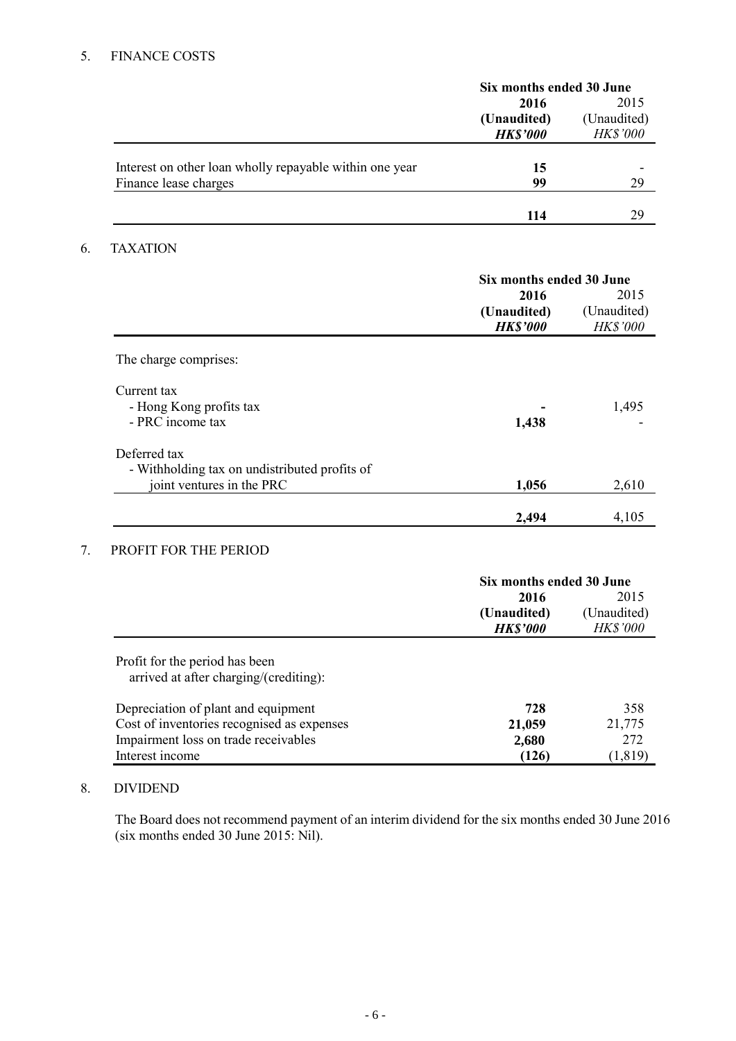# 5. FINANCE COSTS

|                                                         | Six months ended 30 June |                 |  |
|---------------------------------------------------------|--------------------------|-----------------|--|
|                                                         | 2016                     | 2015            |  |
|                                                         | (Unaudited)              | (Unaudited)     |  |
|                                                         | <b>HK\$'000</b>          | <b>HK\$'000</b> |  |
|                                                         |                          |                 |  |
| Interest on other loan wholly repayable within one year | 15                       |                 |  |
| Finance lease charges                                   | 99                       | 29              |  |
|                                                         |                          |                 |  |
|                                                         | 114                      | 29              |  |

# 6. TAXATION

|                                                                            | Six months ended 30 June<br>2016<br>2015 |                         |
|----------------------------------------------------------------------------|------------------------------------------|-------------------------|
|                                                                            | (Unaudited)<br><b>HK\$'000</b>           | (Unaudited)<br>HK\$'000 |
| The charge comprises:                                                      |                                          |                         |
| Current tax<br>- Hong Kong profits tax<br>- PRC income tax                 | 1,438                                    | 1,495                   |
| Deferred tax                                                               |                                          |                         |
| - Withholding tax on undistributed profits of<br>joint ventures in the PRC | 1,056                                    | 2,610                   |
|                                                                            | 2,494                                    | 4,105                   |

# 7. PROFIT FOR THE PERIOD

|                                            | Six months ended 30 June |                 |  |
|--------------------------------------------|--------------------------|-----------------|--|
|                                            | 2016                     | 2015            |  |
|                                            | (Unaudited)              | (Unaudited)     |  |
|                                            | <b>HK\$'000</b>          | <b>HK\$'000</b> |  |
| Profit for the period has been             |                          |                 |  |
| arrived at after charging/(crediting):     |                          |                 |  |
| Depreciation of plant and equipment        | 728                      | 358             |  |
| Cost of inventories recognised as expenses | 21,059                   | 21,775          |  |
| Impairment loss on trade receivables       | 2,680                    | 272             |  |
| Interest income                            | (126)                    | (1, 819)        |  |

# 8. DIVIDEND

The Board does not recommend payment of an interim dividend for the six months ended 30 June 2016 (six months ended 30 June 2015: Nil).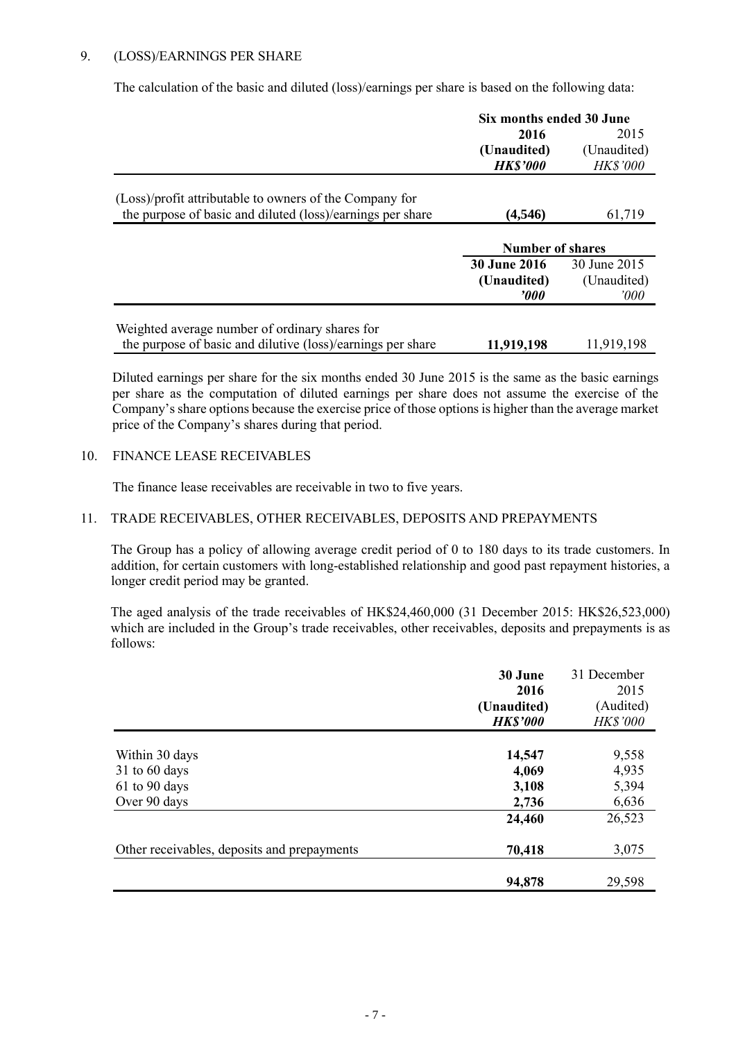# 9. (LOSS)/EARNINGS PER SHARE

The calculation of the basic and diluted (loss)/earnings per share is based on the following data:

|                                                             | Six months ended 30 June |                 |  |
|-------------------------------------------------------------|--------------------------|-----------------|--|
|                                                             | 2016                     | 2015            |  |
|                                                             | (Unaudited)              | (Unaudited)     |  |
|                                                             | <b>HK\$'000</b>          | <b>HK\$'000</b> |  |
| (Loss)/profit attributable to owners of the Company for     |                          |                 |  |
| the purpose of basic and diluted (loss)/earnings per share  | (4,546)                  | 61,719          |  |
|                                                             |                          |                 |  |
|                                                             | <b>Number of shares</b>  |                 |  |
|                                                             | <b>30 June 2016</b>      | 30 June 2015    |  |
|                                                             | (Unaudited)              | (Unaudited)     |  |
|                                                             | '000                     | '000            |  |
|                                                             |                          |                 |  |
| Weighted average number of ordinary shares for              |                          |                 |  |
| the purpose of basic and dilutive (loss)/earnings per share | 11,919,198               | 11,919,198      |  |

Diluted earnings per share for the six months ended 30 June 2015 is the same as the basic earnings per share as the computation of diluted earnings per share does not assume the exercise of the Company's share options because the exercise price of those options is higher than the average market price of the Company's shares during that period.

### 10. FINANCE LEASE RECEIVABLES

The finance lease receivables are receivable in two to five years.

### 11. TRADE RECEIVABLES, OTHER RECEIVABLES, DEPOSITS AND PREPAYMENTS

The Group has a policy of allowing average credit period of 0 to 180 days to its trade customers. In addition, for certain customers with long-established relationship and good past repayment histories, a longer credit period may be granted.

The aged analysis of the trade receivables of HK\$24,460,000 (31 December 2015: HK\$26,523,000) which are included in the Group's trade receivables, other receivables, deposits and prepayments is as follows:

|                                             | 30 June         | 31 December     |
|---------------------------------------------|-----------------|-----------------|
|                                             | 2016            | 2015            |
|                                             | (Unaudited)     | (Audited)       |
|                                             | <b>HK\$'000</b> | <b>HK\$'000</b> |
|                                             |                 |                 |
| Within 30 days                              | 14,547          | 9,558           |
| $31$ to 60 days                             | 4,069           | 4,935           |
| $61$ to 90 days                             | 3,108           | 5,394           |
| Over 90 days                                | 2,736           | 6,636           |
|                                             | 24,460          | 26,523          |
| Other receivables, deposits and prepayments | 70,418          | 3,075           |
|                                             |                 |                 |
|                                             | 94,878          | 29,598          |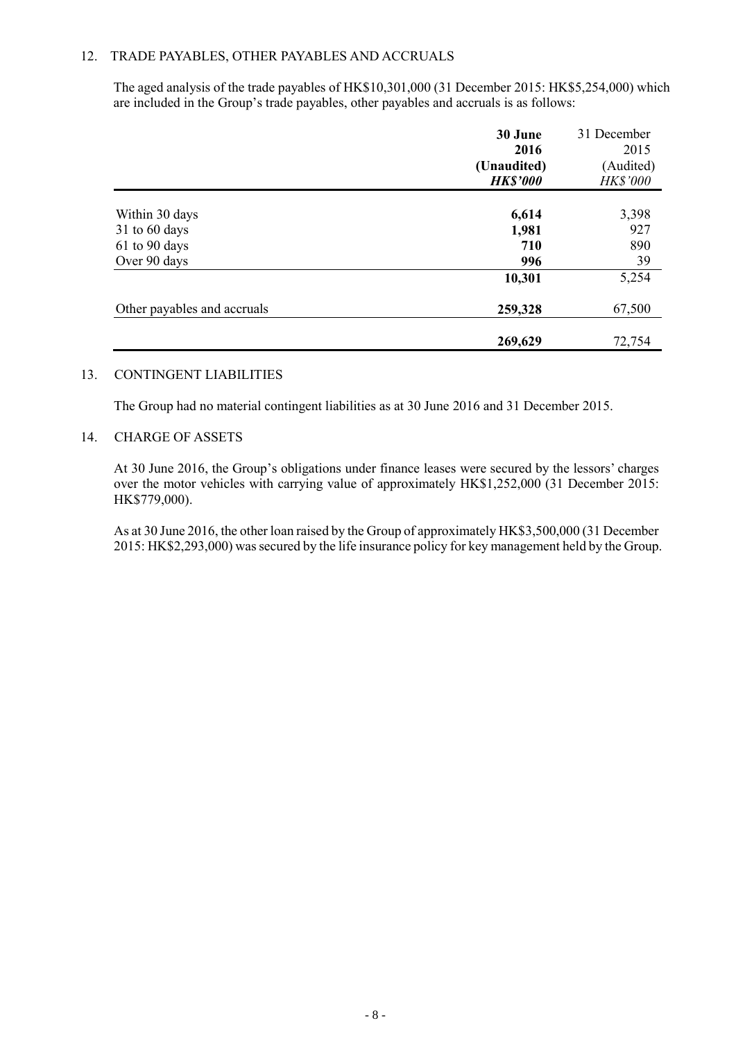### 12. TRADE PAYABLES, OTHER PAYABLES AND ACCRUALS

The aged analysis of the trade payables of HK\$10,301,000 (31 December 2015: HK\$5,254,000) which are included in the Group's trade payables, other payables and accruals is as follows:

|                             | 30 June         | 31 December     |
|-----------------------------|-----------------|-----------------|
|                             | 2016            | 2015            |
|                             | (Unaudited)     | (Audited)       |
|                             | <b>HK\$'000</b> | <b>HK\$'000</b> |
|                             |                 |                 |
| Within 30 days              | 6,614           | 3,398           |
| $31$ to 60 days             | 1,981           | 927             |
| 61 to 90 days               | 710             | 890             |
| Over 90 days                | 996             | 39              |
|                             | 10,301          | 5,254           |
| Other payables and accruals | 259,328         | 67,500          |
|                             | 269,629         | 72,754          |

#### 13. CONTINGENT LIABILITIES

The Group had no material contingent liabilities as at 30 June 2016 and 31 December 2015.

### 14. CHARGE OF ASSETS

At 30 June 2016, the Group's obligations under finance leases were secured by the lessors' charges over the motor vehicles with carrying value of approximately HK\$1,252,000 (31 December 2015: HK\$779,000).

As at 30 June 2016, the other loan raised by the Group of approximately HK\$3,500,000 (31 December 2015: HK\$2,293,000) was secured by the life insurance policy for key management held by the Group.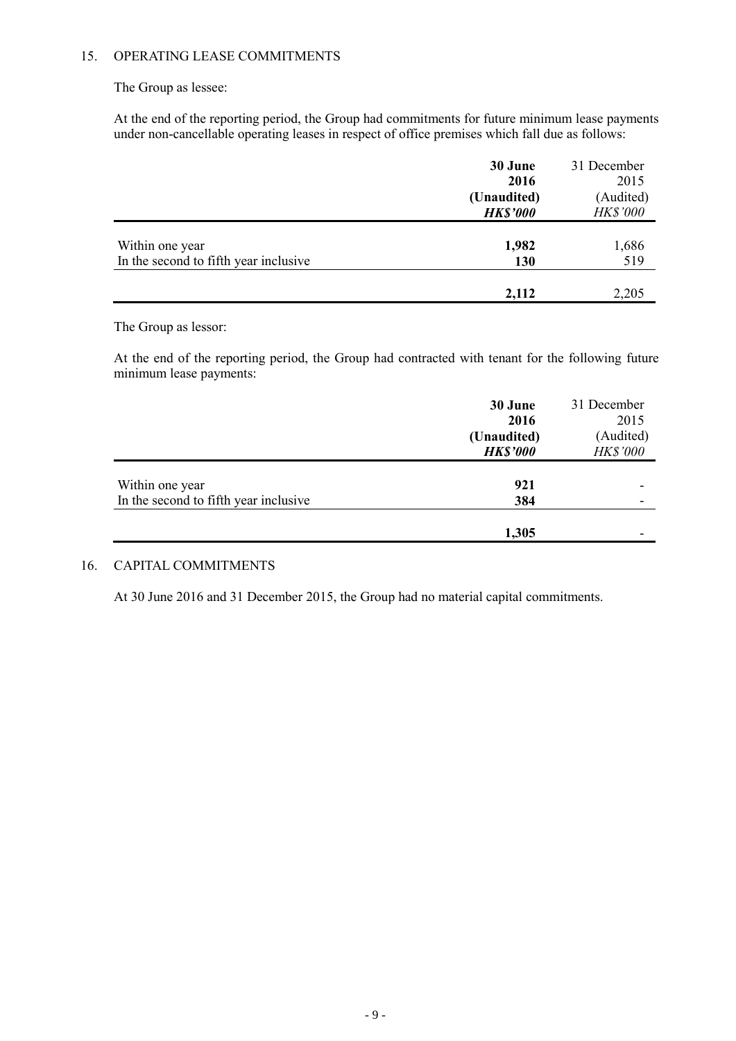# 15. OPERATING LEASE COMMITMENTS

The Group as lessee:

At the end of the reporting period, the Group had commitments for future minimum lease payments under non-cancellable operating leases in respect of office premises which fall due as follows:

|                                       | 30 June         | 31 December     |
|---------------------------------------|-----------------|-----------------|
|                                       | 2016            | 2015            |
|                                       | (Unaudited)     | (Audited)       |
|                                       | <b>HK\$'000</b> | <b>HK\$'000</b> |
|                                       |                 |                 |
| Within one year                       | 1,982           | 1,686           |
| In the second to fifth year inclusive | 130             | 519             |
|                                       |                 |                 |
|                                       | 2,112           | 2,205           |

The Group as lessor:

At the end of the reporting period, the Group had contracted with tenant for the following future minimum lease payments:

|                                       | 30 June<br>2016 | 31 December<br>2015 |
|---------------------------------------|-----------------|---------------------|
|                                       | (Unaudited)     | (Audited)           |
|                                       | <b>HK\$'000</b> | HK\$'000            |
|                                       |                 |                     |
| Within one year                       | 921             |                     |
| In the second to fifth year inclusive | 384             |                     |
|                                       |                 |                     |
|                                       | 1,305           |                     |

# 16. CAPITAL COMMITMENTS

At 30 June 2016 and 31 December 2015, the Group had no material capital commitments.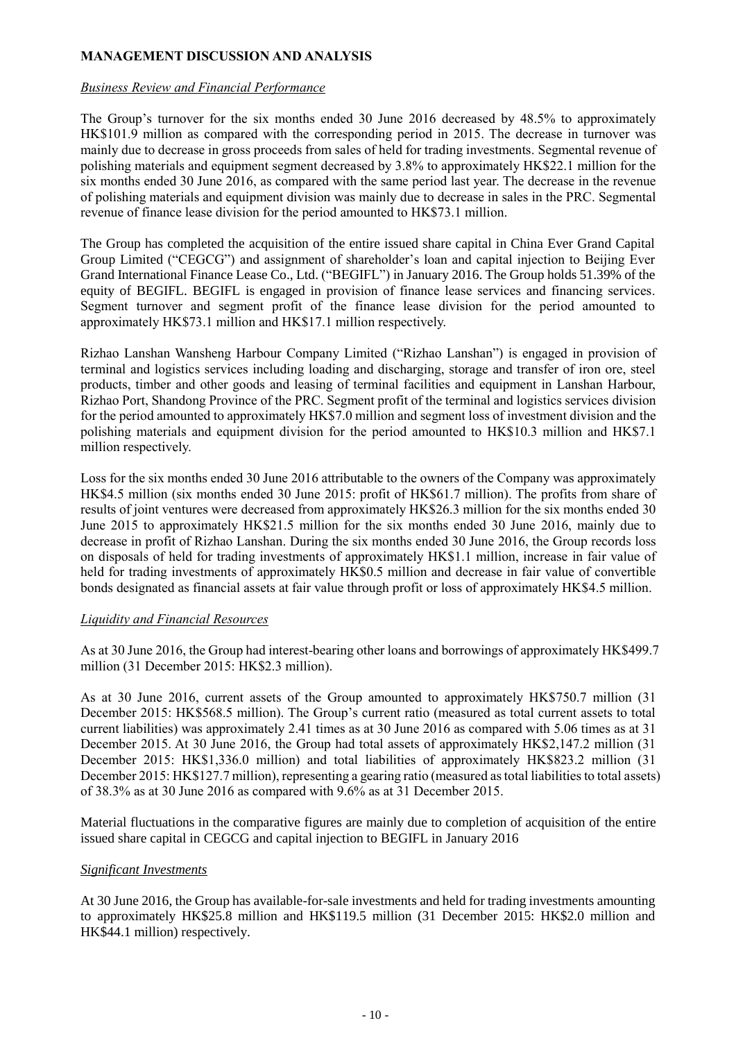# **MANAGEMENT DISCUSSION AND ANALYSIS**

### *Business Review and Financial Performance*

The Group's turnover for the six months ended 30 June 2016 decreased by 48.5% to approximately HK\$101.9 million as compared with the corresponding period in 2015. The decrease in turnover was mainly due to decrease in gross proceeds from sales of held for trading investments. Segmental revenue of polishing materials and equipment segment decreased by 3.8% to approximately HK\$22.1 million for the six months ended 30 June 2016, as compared with the same period last year. The decrease in the revenue of polishing materials and equipment division was mainly due to decrease in sales in the PRC. Segmental revenue of finance lease division for the period amounted to HK\$73.1 million.

The Group has completed the acquisition of the entire issued share capital in China Ever Grand Capital Group Limited ("CEGCG") and assignment of shareholder's loan and capital injection to Beijing Ever Grand International Finance Lease Co., Ltd. ("BEGIFL") in January 2016. The Group holds 51.39% of the equity of BEGIFL. BEGIFL is engaged in provision of finance lease services and financing services. Segment turnover and segment profit of the finance lease division for the period amounted to approximately HK\$73.1 million and HK\$17.1 million respectively.

Rizhao Lanshan Wansheng Harbour Company Limited ("Rizhao Lanshan") is engaged in provision of terminal and logistics services including loading and discharging, storage and transfer of iron ore, steel products, timber and other goods and leasing of terminal facilities and equipment in Lanshan Harbour, Rizhao Port, Shandong Province of the PRC. Segment profit of the terminal and logistics services division for the period amounted to approximately HK\$7.0 million and segment loss of investment division and the polishing materials and equipment division for the period amounted to HK\$10.3 million and HK\$7.1 million respectively.

Loss for the six months ended 30 June 2016 attributable to the owners of the Company was approximately HK\$4.5 million (six months ended 30 June 2015: profit of HK\$61.7 million). The profits from share of results of joint ventures were decreased from approximately HK\$26.3 million for the six months ended 30 June 2015 to approximately HK\$21.5 million for the six months ended 30 June 2016, mainly due to decrease in profit of Rizhao Lanshan. During the six months ended 30 June 2016, the Group records loss on disposals of held for trading investments of approximately HK\$1.1 million, increase in fair value of held for trading investments of approximately HK\$0.5 million and decrease in fair value of convertible bonds designated as financial assets at fair value through profit or loss of approximately HK\$4.5 million.

### *Liquidity and Financial Resources*

As at 30 June 2016, the Group had interest-bearing other loans and borrowings of approximately HK\$499.7 million (31 December 2015: HK\$2.3 million).

As at 30 June 2016, current assets of the Group amounted to approximately HK\$750.7 million (31 December 2015: HK\$568.5 million). The Group's current ratio (measured as total current assets to total current liabilities) was approximately 2.41 times as at 30 June 2016 as compared with 5.06 times as at 31 December 2015. At 30 June 2016, the Group had total assets of approximately HK\$2,147.2 million (31 December 2015: HK\$1,336.0 million) and total liabilities of approximately HK\$823.2 million (31 December 2015: HK\$127.7 million), representing a gearing ratio (measured as total liabilities to total assets) of 38.3% as at 30 June 2016 as compared with 9.6% as at 31 December 2015.

Material fluctuations in the comparative figures are mainly due to completion of acquisition of the entire issued share capital in CEGCG and capital injection to BEGIFL in January 2016

# *Significant Investments*

At 30 June 2016, the Group has available-for-sale investments and held for trading investments amounting to approximately HK\$25.8 million and HK\$119.5 million (31 December 2015: HK\$2.0 million and HK\$44.1 million) respectively.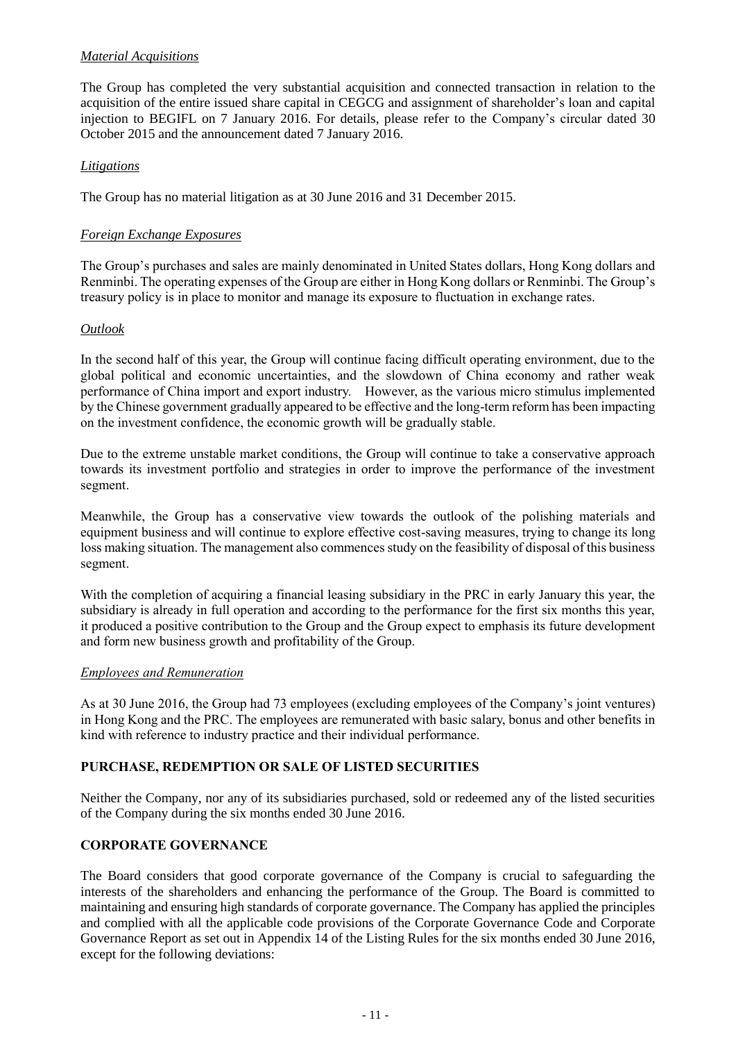# *Material Acquisitions*

The Group has completed the very substantial acquisition and connected transaction in relation to the acquisition of the entire issued share capital in CEGCG and assignment of shareholder's loan and capital injection to BEGIFL on 7 January 2016. For details, please refer to the Company's circular dated 30 October 2015 and the announcement dated 7 January 2016.

# *Litigations*

The Group has no material litigation as at 30 June 2016 and 31 December 2015.

# *Foreign Exchange Exposures*

The Group's purchases and sales are mainly denominated in United States dollars, Hong Kong dollars and Renminbi. The operating expenses of the Group are either in Hong Kong dollars or Renminbi. The Group's treasury policy is in place to monitor and manage its exposure to fluctuation in exchange rates.

### *Outlook*

In the second half of this year, the Group will continue facing difficult operating environment, due to the global political and economic uncertainties, and the slowdown of China economy and rather weak performance of China import and export industry. However, as the various micro stimulus implemented by the Chinese government gradually appeared to be effective and the long-term reform has been impacting on the investment confidence, the economic growth will be gradually stable.

Due to the extreme unstable market conditions, the Group will continue to take a conservative approach towards its investment portfolio and strategies in order to improve the performance of the investment segment.

Meanwhile, the Group has a conservative view towards the outlook of the polishing materials and equipment business and will continue to explore effective cost-saving measures, trying to change its long loss making situation. The management also commences study on the feasibility of disposal of this business segment.

With the completion of acquiring a financial leasing subsidiary in the PRC in early January this year, the subsidiary is already in full operation and according to the performance for the first six months this year, it produced a positive contribution to the Group and the Group expect to emphasis its future development and form new business growth and profitability of the Group.

### *Employees and Remuneration*

As at 30 June 2016, the Group had 73 employees (excluding employees of the Company's joint ventures) in Hong Kong and the PRC. The employees are remunerated with basic salary, bonus and other benefits in kind with reference to industry practice and their individual performance.

# **PURCHASE, REDEMPTION OR SALE OF LISTED SECURITIES**

Neither the Company, nor any of its subsidiaries purchased, sold or redeemed any of the listed securities of the Company during the six months ended 30 June 2016.

# **CORPORATE GOVERNANCE**

The Board considers that good corporate governance of the Company is crucial to safeguarding the interests of the shareholders and enhancing the performance of the Group. The Board is committed to maintaining and ensuring high standards of corporate governance. The Company has applied the principles and complied with all the applicable code provisions of the Corporate Governance Code and Corporate Governance Report as set out in Appendix 14 of the Listing Rules for the six months ended 30 June 2016, except for the following deviations: